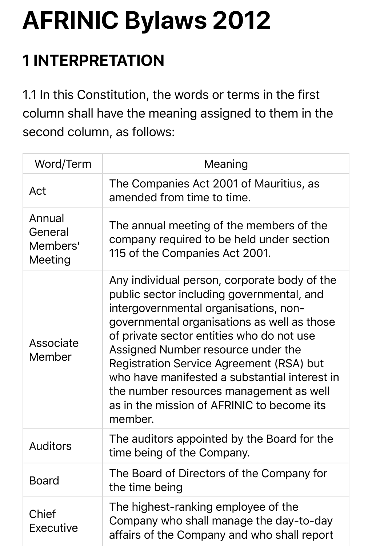# **AFRINIC Bylaws 2012**

# **1 INTERPRETATION**

1.1 In this Constitution, the words or terms in the first column shall have the meaning assigned to them in the second column, as follows:

| Word/Term                                | Meaning                                                                                                                                                                                                                                                                                                                                                                                                                                                               |
|------------------------------------------|-----------------------------------------------------------------------------------------------------------------------------------------------------------------------------------------------------------------------------------------------------------------------------------------------------------------------------------------------------------------------------------------------------------------------------------------------------------------------|
| Act                                      | The Companies Act 2001 of Mauritius, as<br>amended from time to time.                                                                                                                                                                                                                                                                                                                                                                                                 |
| Annual<br>General<br>Members'<br>Meeting | The annual meeting of the members of the<br>company required to be held under section<br>115 of the Companies Act 2001.                                                                                                                                                                                                                                                                                                                                               |
| Associate<br>Member                      | Any individual person, corporate body of the<br>public sector including governmental, and<br>intergovernmental organisations, non-<br>governmental organisations as well as those<br>of private sector entities who do not use<br>Assigned Number resource under the<br>Registration Service Agreement (RSA) but<br>who have manifested a substantial interest in<br>the number resources management as well<br>as in the mission of AFRINIC to become its<br>member. |
| <b>Auditors</b>                          | The auditors appointed by the Board for the<br>time being of the Company.                                                                                                                                                                                                                                                                                                                                                                                             |
| <b>Board</b>                             | The Board of Directors of the Company for<br>the time being                                                                                                                                                                                                                                                                                                                                                                                                           |
| Chief<br>Executive                       | The highest-ranking employee of the<br>Company who shall manage the day-to-day<br>affairs of the Company and who shall report                                                                                                                                                                                                                                                                                                                                         |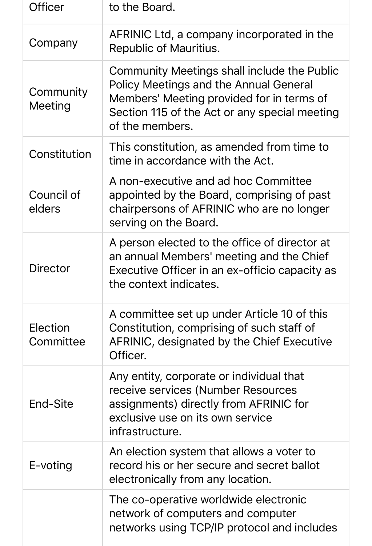| Officer               | to the Board.                                                                                                                                                                                                 |
|-----------------------|---------------------------------------------------------------------------------------------------------------------------------------------------------------------------------------------------------------|
| Company               | AFRINIC Ltd, a company incorporated in the<br>Republic of Mauritius.                                                                                                                                          |
| Community<br>Meeting  | Community Meetings shall include the Public<br><b>Policy Meetings and the Annual General</b><br>Members' Meeting provided for in terms of<br>Section 115 of the Act or any special meeting<br>of the members. |
| Constitution          | This constitution, as amended from time to<br>time in accordance with the Act.                                                                                                                                |
| Council of<br>elders  | A non-executive and ad hoc Committee<br>appointed by the Board, comprising of past<br>chairpersons of AFRINIC who are no longer<br>serving on the Board.                                                      |
| Director              | A person elected to the office of director at<br>an annual Members' meeting and the Chief<br>Executive Officer in an ex-officio capacity as<br>the context indicates.                                         |
| Election<br>Committee | A committee set up under Article 10 of this<br>Constitution, comprising of such staff of<br>AFRINIC, designated by the Chief Executive<br>Officer.                                                            |
| End-Site              | Any entity, corporate or individual that<br>receive services (Number Resources<br>assignments) directly from AFRINIC for<br>exclusive use on its own service<br>infrastructure.                               |
| E-voting              | An election system that allows a voter to<br>record his or her secure and secret ballot<br>electronically from any location.                                                                                  |
|                       | The co-operative worldwide electronic<br>network of computers and computer<br>networks using TCP/IP protocol and includes                                                                                     |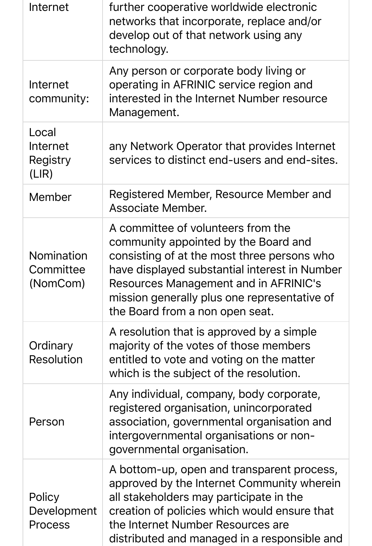| Internet                                   | further cooperative worldwide electronic<br>networks that incorporate, replace and/or<br>develop out of that network using any<br>technology.                                                                                                                                                          |
|--------------------------------------------|--------------------------------------------------------------------------------------------------------------------------------------------------------------------------------------------------------------------------------------------------------------------------------------------------------|
| Internet<br>community:                     | Any person or corporate body living or<br>operating in AFRINIC service region and<br>interested in the Internet Number resource<br>Management.                                                                                                                                                         |
| Local<br>Internet<br>Registry<br>(LIR)     | any Network Operator that provides Internet<br>services to distinct end-users and end-sites.                                                                                                                                                                                                           |
| Member                                     | Registered Member, Resource Member and<br>Associate Member.                                                                                                                                                                                                                                            |
| <b>Nomination</b><br>Committee<br>(NomCom) | A committee of volunteers from the<br>community appointed by the Board and<br>consisting of at the most three persons who<br>have displayed substantial interest in Number<br>Resources Management and in AFRINIC's<br>mission generally plus one representative of<br>the Board from a non open seat. |
| Ordinary<br><b>Resolution</b>              | A resolution that is approved by a simple<br>majority of the votes of those members<br>entitled to vote and voting on the matter<br>which is the subject of the resolution.                                                                                                                            |
| Person                                     | Any individual, company, body corporate,<br>registered organisation, unincorporated<br>association, governmental organisation and<br>intergovernmental organisations or non-<br>governmental organisation.                                                                                             |
| Policy<br>Development<br><b>Process</b>    | A bottom-up, open and transparent process,<br>approved by the Internet Community wherein<br>all stakeholders may participate in the<br>creation of policies which would ensure that<br>the Internet Number Resources are<br>distributed and managed in a responsible and                               |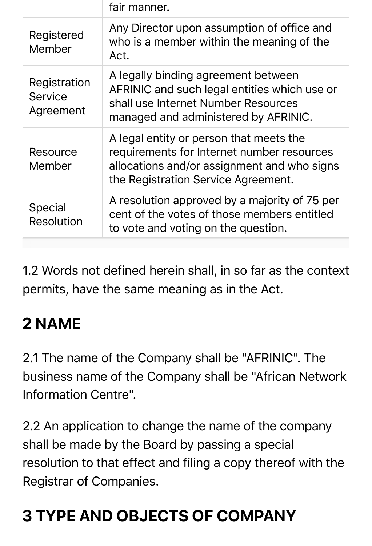|                                             | fair manner.                                                                                                                                                                |
|---------------------------------------------|-----------------------------------------------------------------------------------------------------------------------------------------------------------------------------|
| Registered<br>Member                        | Any Director upon assumption of office and<br>who is a member within the meaning of the<br>Act.                                                                             |
| Registration<br><b>Service</b><br>Agreement | A legally binding agreement between<br>AFRINIC and such legal entities which use or<br>shall use Internet Number Resources<br>managed and administered by AFRINIC.          |
| Resource<br>Member                          | A legal entity or person that meets the<br>requirements for Internet number resources<br>allocations and/or assignment and who signs<br>the Registration Service Agreement. |
| <b>Special</b><br>Resolution                | A resolution approved by a majority of 75 per<br>cent of the votes of those members entitled<br>to vote and voting on the question.                                         |

1.2 Words not defined herein shall, in so far as the context permits, have the same meaning as in the Act.

# **2 NAME**

2.1 The name of the Company shall be "AFRINIC". The business name of the Company shall be "African Network Information Centre".

2.2 An application to change the name of the company shall be made by the Board by passing a special resolution to that effect and filing a copy thereof with the Registrar of Companies.

# **3 TYPE AND OBJECTS OF COMPANY**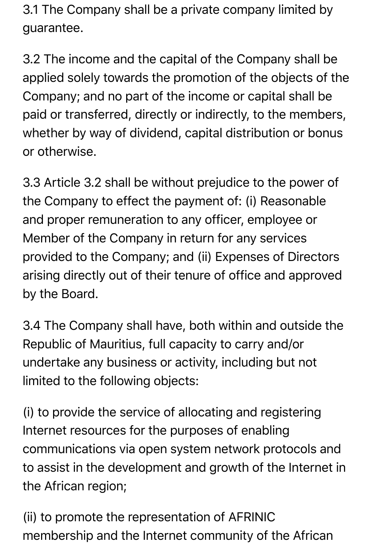3.1 The Company shall be a private company limited by guarantee.

3.2 The income and the capital of the Company shall be applied solely towards the promotion of the objects of the Company; and no part of the income or capital shall be paid or transferred, directly or indirectly, to the members, whether by way of dividend, capital distribution or bonus or otherwise.

3.3 Article 3.2 shall be without prejudice to the power of the Company to effect the payment of: (i) Reasonable and proper remuneration to any officer, employee or Member of the Company in return for any services provided to the Company; and (ii) Expenses of Directors arising directly out of their tenure of office and approved by the Board.

3.4 The Company shall have, both within and outside the Republic of Mauritius, full capacity to carry and/or undertake any business or activity, including but not limited to the following objects:

(i) to provide the service of allocating and registering Internet resources for the purposes of enabling communications via open system network protocols and to assist in the development and growth of the Internet in the African region;

(ii) to promote the representation of AFRINIC membership and the Internet community of the African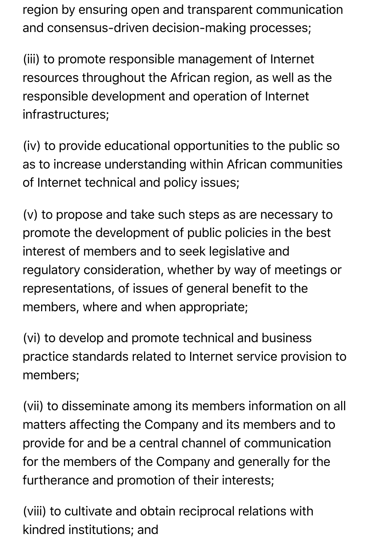region by ensuring open and transparent communication and consensus-driven decision-making processes;

(iii) to promote responsible management of Internet resources throughout the African region, as well as the responsible development and operation of Internet infrastructures;

(iv) to provide educational opportunities to the public so as to increase understanding within African communities of Internet technical and policy issues;

(v) to propose and take such steps as are necessary to promote the development of public policies in the best interest of members and to seek legislative and regulatory consideration, whether by way of meetings or representations, of issues of general benefit to the members, where and when appropriate;

(vi) to develop and promote technical and business practice standards related to Internet service provision to members;

(vii) to disseminate among its members information on all matters affecting the Company and its members and to provide for and be a central channel of communication for the members of the Company and generally for the furtherance and promotion of their interests;

(viii) to cultivate and obtain reciprocal relations with kindred institutions; and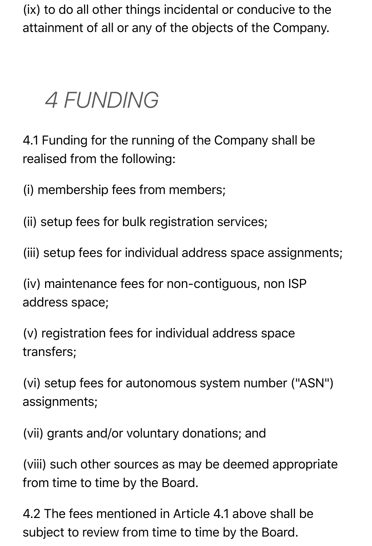(ix) to do all other things incidental or conducive to the attainment of all or any of the objects of the Company.

# *4 FUNDING*

4.1 Funding for the running of the Company shall be realised from the following:

(i) membership fees from members;

(ii) setup fees for bulk registration services;

(iii) setup fees for individual address space assignments;

(iv) maintenance fees for non-contiguous, non ISP address space;

(v) registration fees for individual address space transfers;

(vi) setup fees for autonomous system number ("ASN") assignments;

(vii) grants and/or voluntary donations; and

(viii) such other sources as may be deemed appropriate from time to time by the Board.

4.2 The fees mentioned in Article 4.1 above shall be subject to review from time to time by the Board.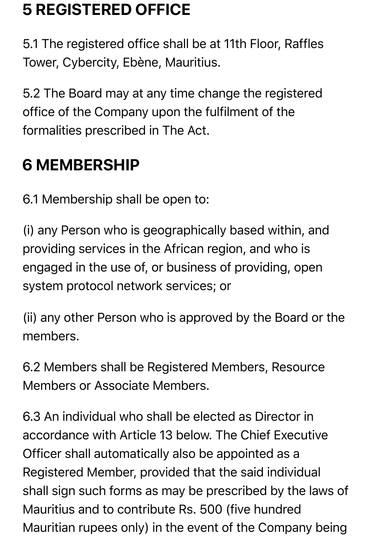### **5 REGISTERED OFFICE**

5.1 The registered office shall be at 11th Floor, Raffles Tower, Cybercity, Ebène, Mauritius.

5.2 The Board may at any time change the registered office of the Company upon the fulfilment of the formalities prescribed in The Act.

### **6 MEMBERSHIP**

6.1 Membership shall be open to:

(i) any Person who is geographically based within, and providing services in the African region, and who is engaged in the use of, or business of providing, open system protocol network services; or

(ii) any other Person who is approved by the Board or the members.

6.2 Members shall be Registered Members, Resource Members or Associate Members.

6.3 An individual who shall be elected as Director in accordance with Article 13 below. The Chief Executive Officer shall automatically also be appointed as a Registered Member, provided that the said individual shall sign such forms as may be prescribed by the laws of Mauritius and to contribute Rs. 500 (five hundred Mauritian rupees only) in the event of the Company being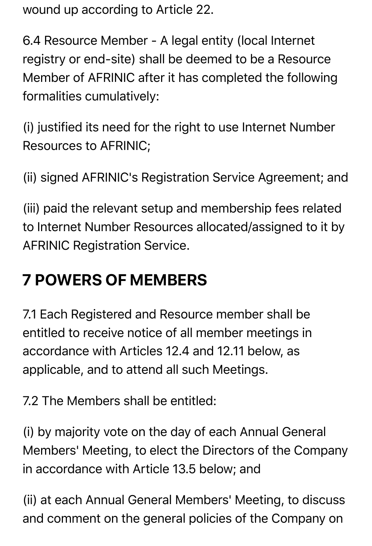wound up according to Article 22.

6.4 Resource Member - A legal entity (local Internet registry or end-site) shall be deemed to be a Resource Member of AFRINIC after it has completed the following formalities cumulatively:

(i) justified its need for the right to use Internet Number Resources to AFRINIC;

(ii) signed AFRINIC's Registration Service Agreement; and

(iii) paid the relevant setup and membership fees related to Internet Number Resources allocated/assigned to it by AFRINIC Registration Service.

### **7 POWERS OF MEMBERS**

7.1 Each Registered and Resource member shall be entitled to receive notice of all member meetings in accordance with Articles 12.4 and 12.11 below, as applicable, and to attend all such Meetings.

7.2 The Members shall be entitled:

(i) by majority vote on the day of each Annual General Members' Meeting, to elect the Directors of the Company in accordance with Article 13.5 below; and

(ii) at each Annual General Members' Meeting, to discuss and comment on the general policies of the Company on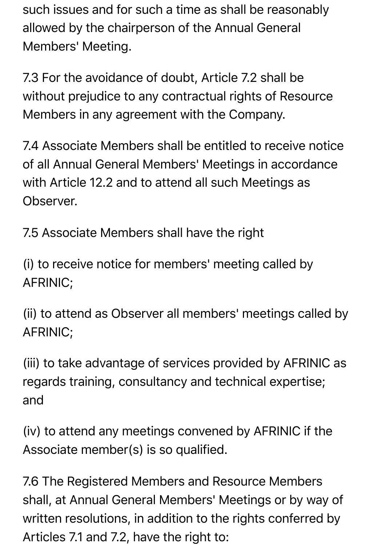such issues and for such a time as shall be reasonably allowed by the chairperson of the Annual General Members' Meeting.

7.3 For the avoidance of doubt, Article 7.2 shall be without prejudice to any contractual rights of Resource Members in any agreement with the Company.

7.4 Associate Members shall be entitled to receive notice of all Annual General Members' Meetings in accordance with Article 12.2 and to attend all such Meetings as Observer.

7.5 Associate Members shall have the right

(i) to receive notice for members' meeting called by AFRINIC;

(ii) to attend as Observer all members' meetings called by AFRINIC;

(iii) to take advantage of services provided by AFRINIC as regards training, consultancy and technical expertise; and

(iv) to attend any meetings convened by AFRINIC if the Associate member(s) is so qualified.

7.6 The Registered Members and Resource Members shall, at Annual General Members' Meetings or by way of written resolutions, in addition to the rights conferred by Articles 7.1 and 7.2, have the right to: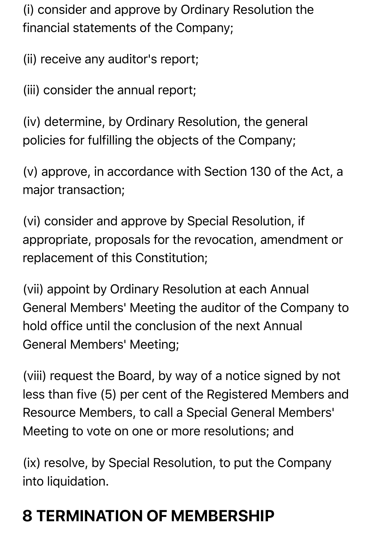(i) consider and approve by Ordinary Resolution the financial statements of the Company;

(ii) receive any auditor's report;

(iii) consider the annual report;

(iv) determine, by Ordinary Resolution, the general policies for fulfilling the objects of the Company;

(v) approve, in accordance with Section 130 of the Act, a major transaction;

(vi) consider and approve by Special Resolution, if appropriate, proposals for the revocation, amendment or replacement of this Constitution;

(vii) appoint by Ordinary Resolution at each Annual General Members' Meeting the auditor of the Company to hold office until the conclusion of the next Annual General Members' Meeting;

(viii) request the Board, by way of a notice signed by not less than five (5) per cent of the Registered Members and Resource Members, to call a Special General Members' Meeting to vote on one or more resolutions; and

(ix) resolve, by Special Resolution, to put the Company into liquidation.

# **8 TERMINATION OF MEMBERSHIP**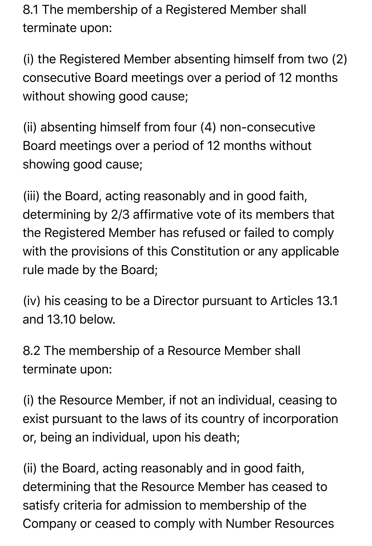8.1 The membership of a Registered Member shall terminate upon:

(i) the Registered Member absenting himself from two (2) consecutive Board meetings over a period of 12 months without showing good cause;

(ii) absenting himself from four (4) non-consecutive Board meetings over a period of 12 months without showing good cause;

(iii) the Board, acting reasonably and in good faith, determining by 2/3 affirmative vote of its members that the Registered Member has refused or failed to comply with the provisions of this Constitution or any applicable rule made by the Board;

(iv) his ceasing to be a Director pursuant to Articles 13.1 and 13.10 below.

8.2 The membership of a Resource Member shall terminate upon:

(i) the Resource Member, if not an individual, ceasing to exist pursuant to the laws of its country of incorporation or, being an individual, upon his death;

(ii) the Board, acting reasonably and in good faith, determining that the Resource Member has ceased to satisfy criteria for admission to membership of the Company or ceased to comply with Number Resources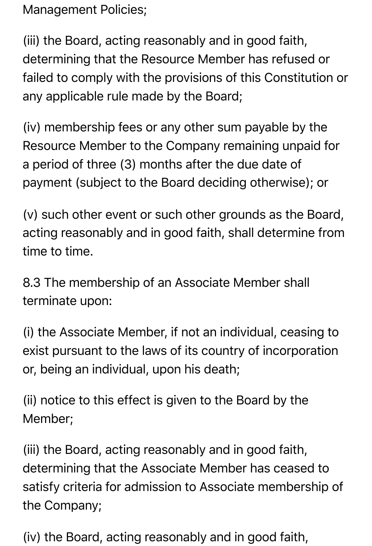Management Policies;

(iii) the Board, acting reasonably and in good faith, determining that the Resource Member has refused or failed to comply with the provisions of this Constitution or any applicable rule made by the Board;

(iv) membership fees or any other sum payable by the Resource Member to the Company remaining unpaid for a period of three (3) months after the due date of payment (subject to the Board deciding otherwise); or

(v) such other event or such other grounds as the Board, acting reasonably and in good faith, shall determine from time to time.

8.3 The membership of an Associate Member shall terminate upon:

(i) the Associate Member, if not an individual, ceasing to exist pursuant to the laws of its country of incorporation or, being an individual, upon his death;

(ii) notice to this effect is given to the Board by the Member;

(iii) the Board, acting reasonably and in good faith, determining that the Associate Member has ceased to satisfy criteria for admission to Associate membership of the Company;

(iv) the Board, acting reasonably and in good faith,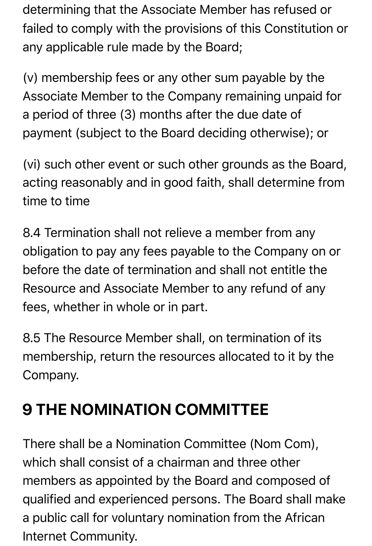determining that the Associate Member has refused or failed to comply with the provisions of this Constitution or any applicable rule made by the Board;

(v) membership fees or any other sum payable by the Associate Member to the Company remaining unpaid for a period of three (3) months after the due date of payment (subject to the Board deciding otherwise); or

(vi) such other event or such other grounds as the Board, acting reasonably and in good faith, shall determine from time to time

8.4 Termination shall not relieve a member from any obligation to pay any fees payable to the Company on or before the date of termination and shall not entitle the Resource and Associate Member to any refund of any fees, whether in whole or in part.

8.5 The Resource Member shall, on termination of its membership, return the resources allocated to it by the Company.

# **9 THE NOMINATION COMMITTEE**

There shall be a Nomination Committee (Nom Com), which shall consist of a chairman and three other members as appointed by the Board and composed of qualified and experienced persons. The Board shall make a public call for voluntary nomination from the African Internet Community.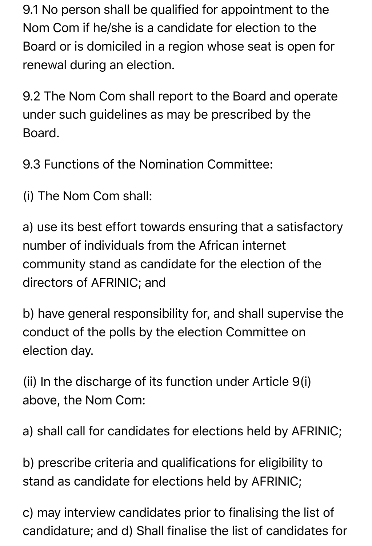9.1 No person shall be qualified for appointment to the Nom Com if he/she is a candidate for election to the Board or is domiciled in a region whose seat is open for renewal during an election.

9.2 The Nom Com shall report to the Board and operate under such guidelines as may be prescribed by the Board.

9.3 Functions of the Nomination Committee:

(i) The Nom Com shall:

a) use its best effort towards ensuring that a satisfactory number of individuals from the African internet community stand as candidate for the election of the directors of AFRINIC; and

b) have general responsibility for, and shall supervise the conduct of the polls by the election Committee on election day.

(ii) In the discharge of its function under Article 9(i) above, the Nom Com:

a) shall call for candidates for elections held by AFRINIC;

b) prescribe criteria and qualifications for eligibility to stand as candidate for elections held by AFRINIC;

c) may interview candidates prior to finalising the list of candidature; and d) Shall finalise the list of candidates for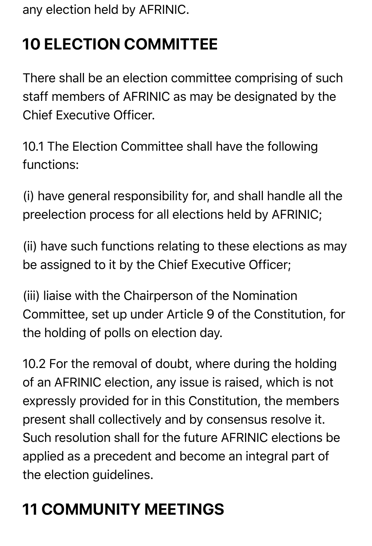any election held by AFRINIC.

# **10 ELECTION COMMITTEE**

There shall be an election committee comprising of such staff members of AFRINIC as may be designated by the Chief Executive Officer.

10.1 The Election Committee shall have the following functions:

(i) have general responsibility for, and shall handle all the preelection process for all elections held by AFRINIC;

(ii) have such functions relating to these elections as may be assigned to it by the Chief Executive Officer;

(iii) liaise with the Chairperson of the Nomination Committee, set up under Article 9 of the Constitution, for the holding of polls on election day.

10.2 For the removal of doubt, where during the holding of an AFRINIC election, any issue is raised, which is not expressly provided for in this Constitution, the members present shall collectively and by consensus resolve it. Such resolution shall for the future AFRINIC elections be applied as a precedent and become an integral part of the election guidelines.

# **11 COMMUNITY MEETINGS**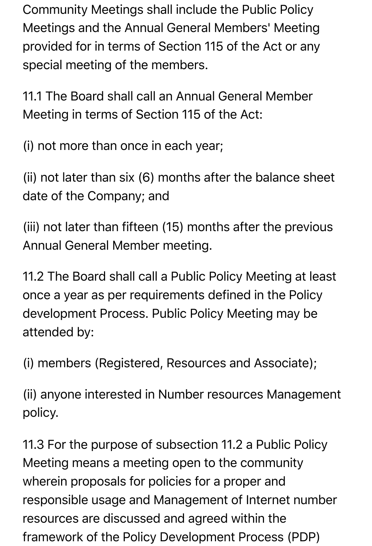Community Meetings shall include the Public Policy Meetings and the Annual General Members' Meeting provided for in terms of Section 115 of the Act or any special meeting of the members.

11.1 The Board shall call an Annual General Member Meeting in terms of Section 115 of the Act:

(i) not more than once in each year;

(ii) not later than six (6) months after the balance sheet date of the Company; and

(iii) not later than fifteen (15) months after the previous Annual General Member meeting.

11.2 The Board shall call a Public Policy Meeting at least once a year as per requirements defined in the Policy development Process. Public Policy Meeting may be attended by:

(i) members (Registered, Resources and Associate);

(ii) anyone interested in Number resources Management policy.

11.3 For the purpose of subsection 11.2 a Public Policy Meeting means a meeting open to the community wherein proposals for policies for a proper and responsible usage and Management of Internet number resources are discussed and agreed within the framework of the Policy Development Process (PDP)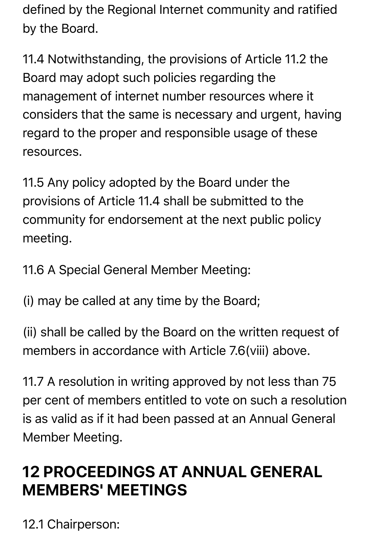defined by the Regional Internet community and ratified by the Board.

11.4 Notwithstanding, the provisions of Article 11.2 the Board may adopt such policies regarding the management of internet number resources where it considers that the same is necessary and urgent, having regard to the proper and responsible usage of these resources.

11.5 Any policy adopted by the Board under the provisions of Article 11.4 shall be submitted to the community for endorsement at the next public policy meeting.

11.6 A Special General Member Meeting:

(i) may be called at any time by the Board;

(ii) shall be called by the Board on the written request of members in accordance with Article 7.6(viii) above.

11.7 A resolution in writing approved by not less than 75 per cent of members entitled to vote on such a resolution is as valid as if it had been passed at an Annual General Member Meeting.

### **12 PROCEEDINGS AT ANNUAL GENERAL MEMBERS' MEETINGS**

12.1 Chairperson: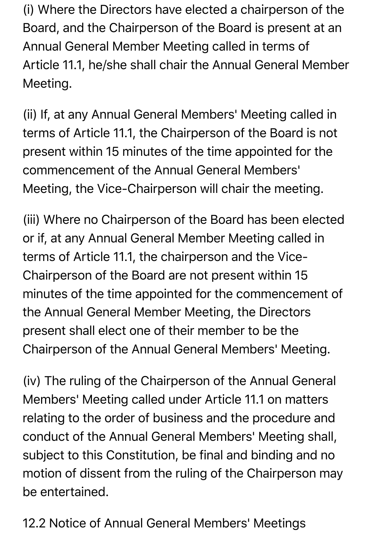(i) Where the Directors have elected a chairperson of the Board, and the Chairperson of the Board is present at an Annual General Member Meeting called in terms of Article 11.1, he/she shall chair the Annual General Member Meeting.

(ii) If, at any Annual General Members' Meeting called in terms of Article 11.1, the Chairperson of the Board is not present within 15 minutes of the time appointed for the commencement of the Annual General Members' Meeting, the Vice-Chairperson will chair the meeting.

(iii) Where no Chairperson of the Board has been elected or if, at any Annual General Member Meeting called in terms of Article 11.1, the chairperson and the Vice-Chairperson of the Board are not present within 15 minutes of the time appointed for the commencement of the Annual General Member Meeting, the Directors present shall elect one of their member to be the Chairperson of the Annual General Members' Meeting.

(iv) The ruling of the Chairperson of the Annual General Members' Meeting called under Article 11.1 on matters relating to the order of business and the procedure and conduct of the Annual General Members' Meeting shall, subject to this Constitution, be final and binding and no motion of dissent from the ruling of the Chairperson may be entertained.

12.2 Notice of Annual General Members' Meetings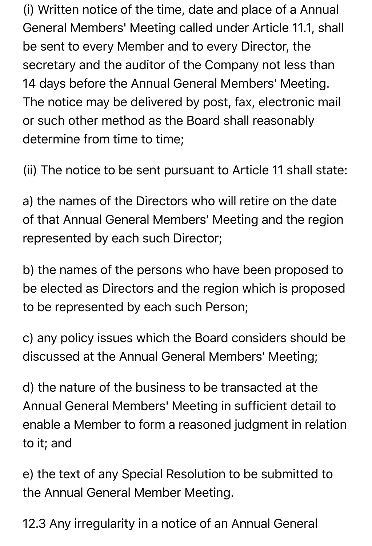(i) Written notice of the time, date and place of a Annual General Members' Meeting called under Article 11.1, shall be sent to every Member and to every Director, the secretary and the auditor of the Company not less than 14 days before the Annual General Members' Meeting. The notice may be delivered by post, fax, electronic mail or such other method as the Board shall reasonably determine from time to time;

(ii) The notice to be sent pursuant to Article 11 shall state:

a) the names of the Directors who will retire on the date of that Annual General Members' Meeting and the region represented by each such Director;

b) the names of the persons who have been proposed to be elected as Directors and the region which is proposed to be represented by each such Person;

c) any policy issues which the Board considers should be discussed at the Annual General Members' Meeting;

d) the nature of the business to be transacted at the Annual General Members' Meeting in sufficient detail to enable a Member to form a reasoned judgment in relation to it; and

e) the text of any Special Resolution to be submitted to the Annual General Member Meeting.

12.3 Any irregularity in a notice of an Annual General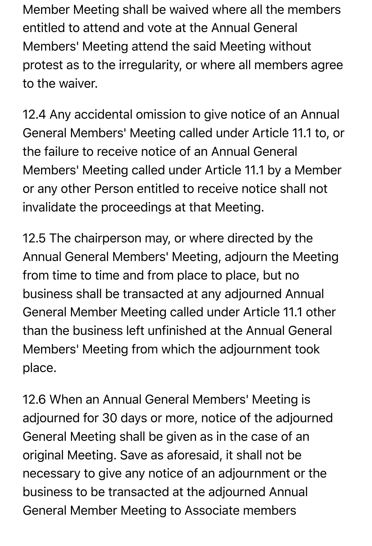Member Meeting shall be waived where all the members entitled to attend and vote at the Annual General Members' Meeting attend the said Meeting without protest as to the irregularity, or where all members agree to the waiver.

12.4 Any accidental omission to give notice of an Annual General Members' Meeting called under Article 11.1 to, or the failure to receive notice of an Annual General Members' Meeting called under Article 11.1 by a Member or any other Person entitled to receive notice shall not invalidate the proceedings at that Meeting.

12.5 The chairperson may, or where directed by the Annual General Members' Meeting, adjourn the Meeting from time to time and from place to place, but no business shall be transacted at any adjourned Annual General Member Meeting called under Article 11.1 other than the business left unfinished at the Annual General Members' Meeting from which the adjournment took place.

12.6 When an Annual General Members' Meeting is adjourned for 30 days or more, notice of the adjourned General Meeting shall be given as in the case of an original Meeting. Save as aforesaid, it shall not be necessary to give any notice of an adjournment or the business to be transacted at the adjourned Annual General Member Meeting to Associate members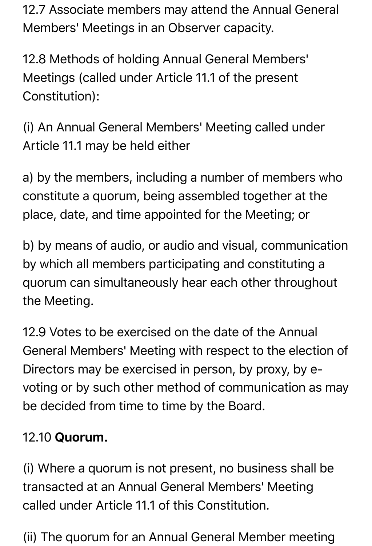12.7 Associate members may attend the Annual General Members' Meetings in an Observer capacity.

12.8 Methods of holding Annual General Members' Meetings (called under Article 11.1 of the present Constitution):

(i) An Annual General Members' Meeting called under Article 11.1 may be held either

a) by the members, including a number of members who constitute a quorum, being assembled together at the place, date, and time appointed for the Meeting; or

b) by means of audio, or audio and visual, communication by which all members participating and constituting a quorum can simultaneously hear each other throughout the Meeting.

12.9 Votes to be exercised on the date of the Annual General Members' Meeting with respect to the election of Directors may be exercised in person, by proxy, by evoting or by such other method of communication as may be decided from time to time by the Board.

#### 12.10 Quorum.

(i) Where a quorum is not present, no business shall be transacted at an Annual General Members' Meeting called under Article 11.1 of this Constitution.

(ii) The quorum for an Annual General Member meeting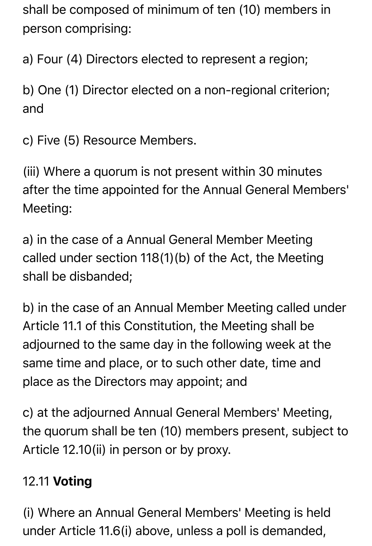shall be composed of minimum of ten (10) members in person comprising:

a) Four (4) Directors elected to represent a region;

b) One (1) Director elected on a non-regional criterion; and

c) Five (5) Resource Members.

(iii) Where a quorum is not present within 30 minutes after the time appointed for the Annual General Members' Meeting:

a) in the case of a Annual General Member Meeting called under section 118(1)(b) of the Act, the Meeting shall be disbanded;

b) in the case of an Annual Member Meeting called under Article 11.1 of this Constitution, the Meeting shall be adjourned to the same day in the following week at the same time and place, or to such other date, time and place as the Directors may appoint; and

c) at the adjourned Annual General Members' Meeting, the quorum shall be ten (10) members present, subject to Article 12.10(ii) in person or by proxy.

#### 12.11 Voting

(i) Where an Annual General Members' Meeting is held under Article 11.6(i) above, unless a poll is demanded,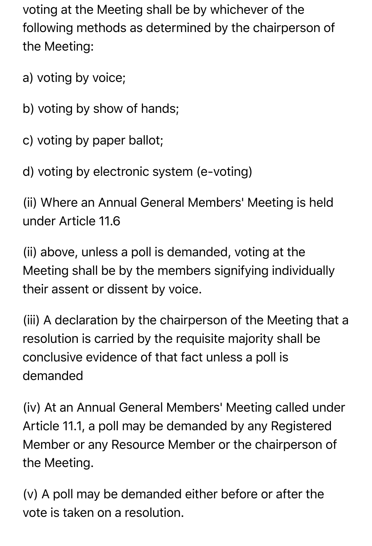voting at the Meeting shall be by whichever of the following methods as determined by the chairperson of the Meeting:

- a) voting by voice;
- b) voting by show of hands;
- c) voting by paper ballot;
- d) voting by electronic system (e-voting)

(ii) Where an Annual General Members' Meeting is held under Article 11.6

(ii) above, unless a poll is demanded, voting at the Meeting shall be by the members signifying individually their assent or dissent by voice.

(iii) A declaration by the chairperson of the Meeting that a resolution is carried by the requisite majority shall be conclusive evidence of that fact unless a poll is demanded

(iv) At an Annual General Members' Meeting called under Article 11.1, a poll may be demanded by any Registered Member or any Resource Member or the chairperson of the Meeting.

(v) A poll may be demanded either before or after the vote is taken on a resolution.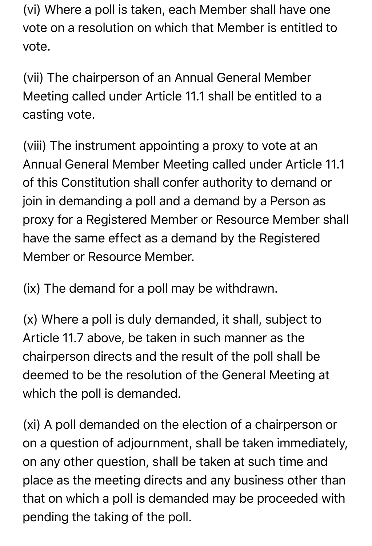(vi) Where a poll is taken, each Member shall have one vote on a resolution on which that Member is entitled to vote.

(vii) The chairperson of an Annual General Member Meeting called under Article 11.1 shall be entitled to a casting vote.

(viii) The instrument appointing a proxy to vote at an Annual General Member Meeting called under Article 11.1 of this Constitution shall confer authority to demand or join in demanding a poll and a demand by a Person as proxy for a Registered Member or Resource Member shall have the same effect as a demand by the Registered Member or Resource Member.

(ix) The demand for a poll may be withdrawn.

(x) Where a poll is duly demanded, it shall, subject to Article 11.7 above, be taken in such manner as the chairperson directs and the result of the poll shall be deemed to be the resolution of the General Meeting at which the poll is demanded.

(xi) A poll demanded on the election of a chairperson or on a question of adjournment, shall be taken immediately, on any other question, shall be taken at such time and place as the meeting directs and any business other than that on which a poll is demanded may be proceeded with pending the taking of the poll.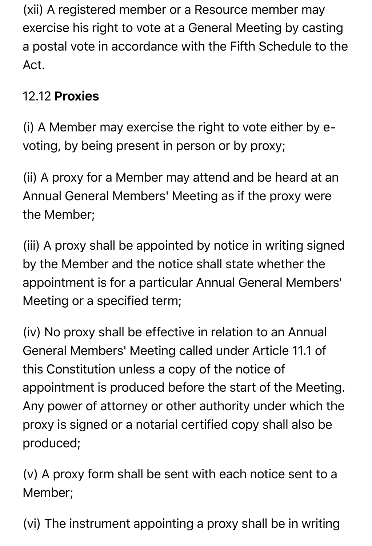(xii) A registered member or a Resource member may exercise his right to vote at a General Meeting by casting a postal vote in accordance with the Fifth Schedule to the Act.

#### 12.12 Proxies

(i) A Member may exercise the right to vote either by evoting, by being present in person or by proxy;

(ii) A proxy for a Member may attend and be heard at an Annual General Members' Meeting as if the proxy were the Member;

(iii) A proxy shall be appointed by notice in writing signed by the Member and the notice shall state whether the appointment is for a particular Annual General Members' Meeting or a specified term;

(iv) No proxy shall be effective in relation to an Annual General Members' Meeting called under Article 11.1 of this Constitution unless a copy of the notice of appointment is produced before the start of the Meeting. Any power of attorney or other authority under which the proxy is signed or a notarial certified copy shall also be produced;

(v) A proxy form shall be sent with each notice sent to a Member;

(vi) The instrument appointing a proxy shall be in writing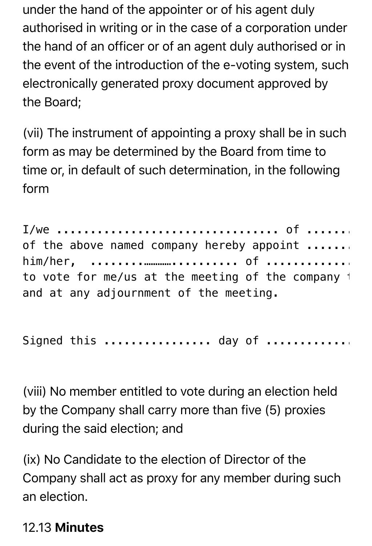under the hand of the appointer or of his agent duly authorised in writing or in the case of a corporation under the hand of an officer or of an agent duly authorised or in the event of the introduction of the e-voting system, such electronically generated proxy document approved by the Board;

(vii) The instrument of appointing a proxy shall be in such form as may be determined by the Board from time to time or, in default of such determination, in the following form

I/we ................................. of .................. being members of the above named company hereby appoint ....... him/her, ........………….......... of ...........................…….. as my/our proxy to vote for me/us at the meeting of the company  $\pm$ and at any adjournment of the meeting.

Signed this .................. day of ..............

(viii) No member entitled to vote during an election held by the Company shall carry more than five (5) proxies during the said election; and

(ix) No Candidate to the election of Director of the Company shall act as proxy for any member during such an election.

#### 12.13 Minutes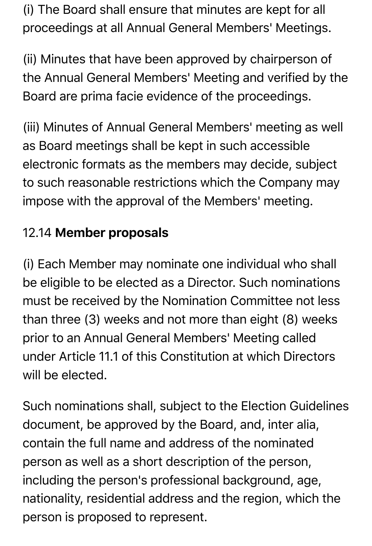(i) The Board shall ensure that minutes are kept for all proceedings at all Annual General Members' Meetings.

(ii) Minutes that have been approved by chairperson of the Annual General Members' Meeting and verified by the Board are prima facie evidence of the proceedings.

(iii) Minutes of Annual General Members' meeting as well as Board meetings shall be kept in such accessible electronic formats as the members may decide, subject to such reasonable restrictions which the Company may impose with the approval of the Members' meeting.

#### 12.14 Member proposals

(i) Each Member may nominate one individual who shall be eligible to be elected as a Director. Such nominations must be received by the Nomination Committee not less than three (3) weeks and not more than eight (8) weeks prior to an Annual General Members' Meeting called under Article 11.1 of this Constitution at which Directors will be elected.

Such nominations shall, subject to the Election Guidelines document, be approved by the Board, and, inter alia, contain the full name and address of the nominated person as well as a short description of the person, including the person's professional background, age, nationality, residential address and the region, which the person is proposed to represent.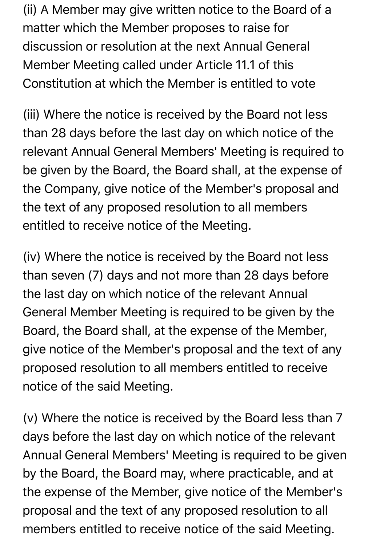(ii) A Member may give written notice to the Board of a matter which the Member proposes to raise for discussion or resolution at the next Annual General Member Meeting called under Article 11.1 of this Constitution at which the Member is entitled to vote

(iii) Where the notice is received by the Board not less than 28 days before the last day on which notice of the relevant Annual General Members' Meeting is required to be given by the Board, the Board shall, at the expense of the Company, give notice of the Member's proposal and the text of any proposed resolution to all members entitled to receive notice of the Meeting.

(iv) Where the notice is received by the Board not less than seven (7) days and not more than 28 days before the last day on which notice of the relevant Annual General Member Meeting is required to be given by the Board, the Board shall, at the expense of the Member, give notice of the Member's proposal and the text of any proposed resolution to all members entitled to receive notice of the said Meeting.

(v) Where the notice is received by the Board less than 7 days before the last day on which notice of the relevant Annual General Members' Meeting is required to be given by the Board, the Board may, where practicable, and at the expense of the Member, give notice of the Member's proposal and the text of any proposed resolution to all members entitled to receive notice of the said Meeting.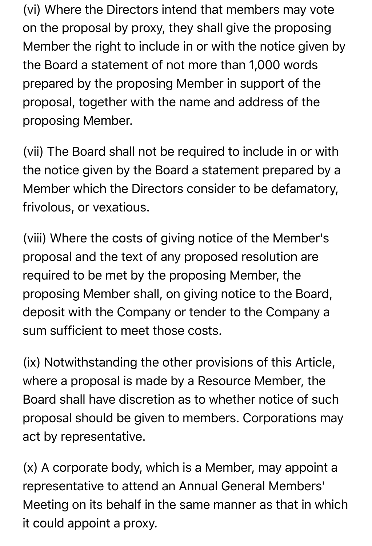(vi) Where the Directors intend that members may vote on the proposal by proxy, they shall give the proposing Member the right to include in or with the notice given by the Board a statement of not more than 1,000 words prepared by the proposing Member in support of the proposal, together with the name and address of the proposing Member.

(vii) The Board shall not be required to include in or with the notice given by the Board a statement prepared by a Member which the Directors consider to be defamatory, frivolous, or vexatious.

(viii) Where the costs of giving notice of the Member's proposal and the text of any proposed resolution are required to be met by the proposing Member, the proposing Member shall, on giving notice to the Board, deposit with the Company or tender to the Company a sum sufficient to meet those costs.

(ix) Notwithstanding the other provisions of this Article, where a proposal is made by a Resource Member, the Board shall have discretion as to whether notice of such proposal should be given to members. Corporations may act by representative.

(x) A corporate body, which is a Member, may appoint a representative to attend an Annual General Members' Meeting on its behalf in the same manner as that in which it could appoint a proxy.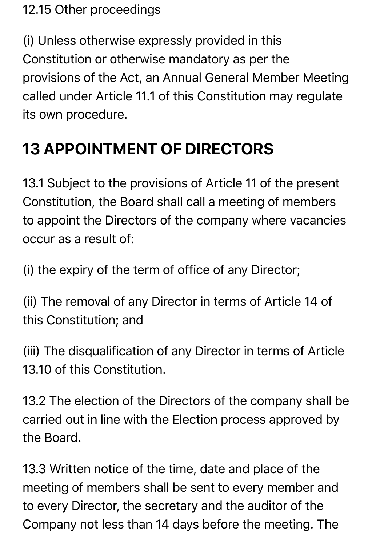#### 12.15 Other proceedings

(i) Unless otherwise expressly provided in this Constitution or otherwise mandatory as per the provisions of the Act, an Annual General Member Meeting called under Article 11.1 of this Constitution may regulate its own procedure.

### **13 APPOINTMENT OF DIRECTORS**

13.1 Subject to the provisions of Article 11 of the present Constitution, the Board shall call a meeting of members to appoint the Directors of the company where vacancies occur as a result of:

(i) the expiry of the term of office of any Director;

(ii) The removal of any Director in terms of Article 14 of this Constitution; and

(iii) The disqualification of any Director in terms of Article 13.10 of this Constitution.

13.2 The election of the Directors of the company shall be carried out in line with the Election process approved by the Board.

13.3 Written notice of the time, date and place of the meeting of members shall be sent to every member and to every Director, the secretary and the auditor of the Company not less than 14 days before the meeting. The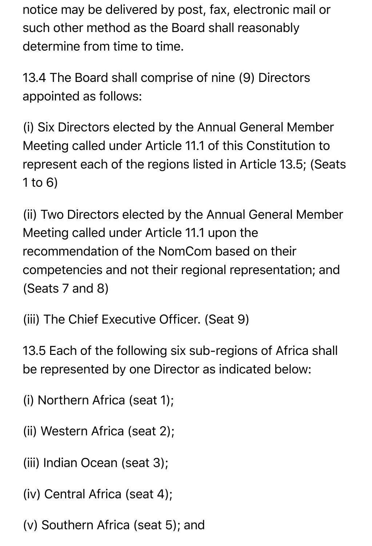notice may be delivered by post, fax, electronic mail or such other method as the Board shall reasonably determine from time to time.

13.4 The Board shall comprise of nine (9) Directors appointed as follows:

(i) Six Directors elected by the Annual General Member Meeting called under Article 11.1 of this Constitution to represent each of the regions listed in Article 13.5; (Seats 1 to 6)

(ii) Two Directors elected by the Annual General Member Meeting called under Article 11.1 upon the recommendation of the NomCom based on their competencies and not their regional representation; and (Seats 7 and 8)

(iii) The Chief Executive Officer. (Seat 9)

13.5 Each of the following six sub-regions of Africa shall be represented by one Director as indicated below:

- (i) Northern Africa (seat 1);
- (ii) Western Africa (seat 2);
- (iii) Indian Ocean (seat 3);
- (iv) Central Africa (seat 4);
- (v) Southern Africa (seat 5); and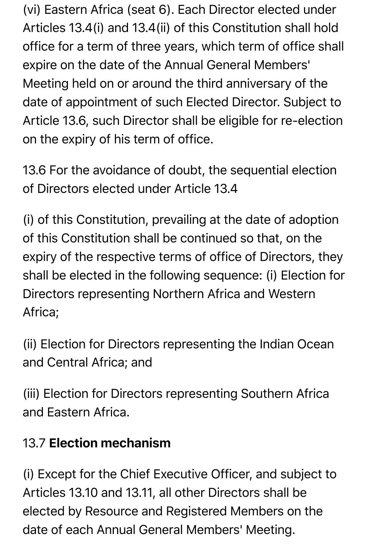(vi) Eastern Africa (seat 6). Each Director elected under Articles 13.4(i) and 13.4(ii) of this Constitution shall hold office for a term of three years, which term of office shall expire on the date of the Annual General Members' Meeting held on or around the third anniversary of the date of appointment of such Elected Director. Subject to Article 13.6, such Director shall be eligible for re-election on the expiry of his term of office.

13.6 For the avoidance of doubt, the sequential election of Directors elected under Article 13.4

(i) of this Constitution, prevailing at the date of adoption of this Constitution shall be continued so that, on the expiry of the respective terms of office of Directors, they shall be elected in the following sequence: (i) Election for Directors representing Northern Africa and Western Africa;

(ii) Election for Directors representing the Indian Ocean and Central Africa; and

(iii) Election for Directors representing Southern Africa and Eastern Africa.

#### 13.7 Election mechanism

(i) Except for the Chief Executive Officer, and subject to Articles 13.10 and 13.11, all other Directors shall be elected by Resource and Registered Members on the date of each Annual General Members' Meeting.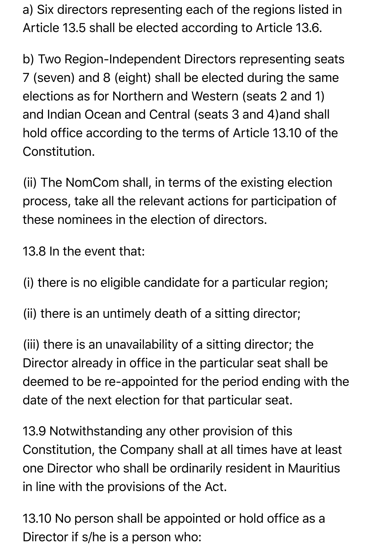a) Six directors representing each of the regions listed in Article 13.5 shall be elected according to Article 13.6.

b) Two Region-Independent Directors representing seats 7 (seven) and 8 (eight) shall be elected during the same elections as for Northern and Western (seats 2 and 1) and Indian Ocean and Central (seats 3 and 4)and shall hold office according to the terms of Article 13.10 of the Constitution.

(ii) The NomCom shall, in terms of the existing election process, take all the relevant actions for participation of these nominees in the election of directors.

13.8 In the event that:

(i) there is no eligible candidate for a particular region;

(ii) there is an untimely death of a sitting director;

(iii) there is an unavailability of a sitting director; the Director already in office in the particular seat shall be deemed to be re-appointed for the period ending with the date of the next election for that particular seat.

13.9 Notwithstanding any other provision of this Constitution, the Company shall at all times have at least one Director who shall be ordinarily resident in Mauritius in line with the provisions of the Act.

13.10 No person shall be appointed or hold office as a Director if s/he is a person who: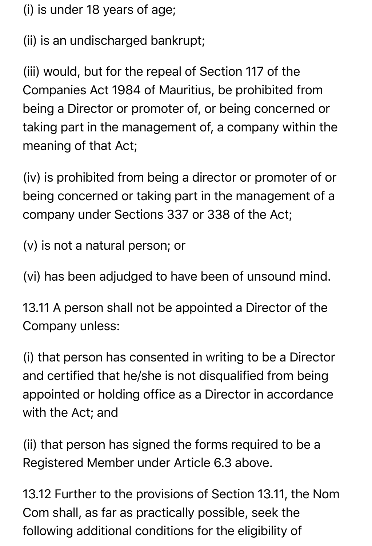(i) is under 18 years of age;

(ii) is an undischarged bankrupt;

(iii) would, but for the repeal of Section 117 of the Companies Act 1984 of Mauritius, be prohibited from being a Director or promoter of, or being concerned or taking part in the management of, a company within the meaning of that Act;

(iv) is prohibited from being a director or promoter of or being concerned or taking part in the management of a company under Sections 337 or 338 of the Act;

(v) is not a natural person; or

(vi) has been adjudged to have been of unsound mind.

13.11 A person shall not be appointed a Director of the Company unless:

(i) that person has consented in writing to be a Director and certified that he/she is not disqualified from being appointed or holding office as a Director in accordance with the Act; and

(ii) that person has signed the forms required to be a Registered Member under Article 6.3 above.

13.12 Further to the provisions of Section 13.11, the Nom Com shall, as far as practically possible, seek the following additional conditions for the eligibility of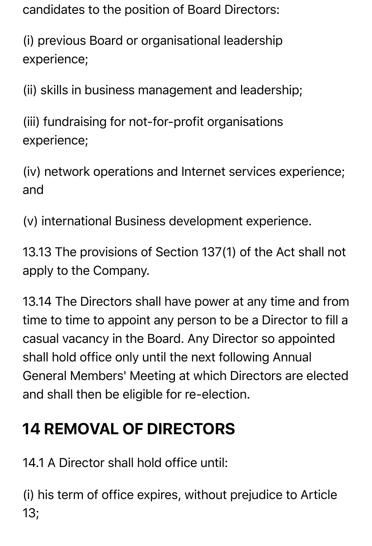candidates to the position of Board Directors:

(i) previous Board or organisational leadership experience;

(ii) skills in business management and leadership;

(iii) fundraising for not-for-profit organisations experience;

(iv) network operations and Internet services experience; and

(v) international Business development experience.

13.13 The provisions of Section 137(1) of the Act shall not apply to the Company.

13.14 The Directors shall have power at any time and from time to time to appoint any person to be a Director to fill a casual vacancy in the Board. Any Director so appointed shall hold office only until the next following Annual General Members' Meeting at which Directors are elected and shall then be eligible for re-election.

### **14 REMOVAL OF DIRECTORS**

14.1 A Director shall hold office until:

(i) his term of office expires, without prejudice to Article 13;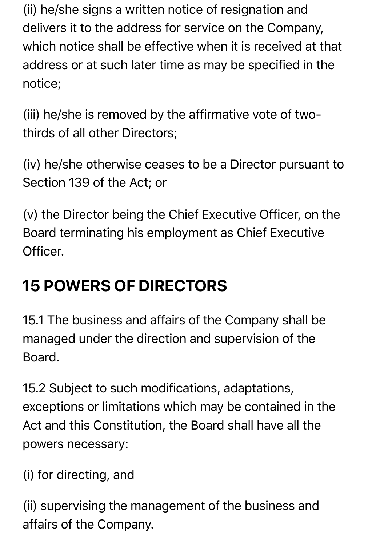(ii) he/she signs a written notice of resignation and delivers it to the address for service on the Company, which notice shall be effective when it is received at that address or at such later time as may be specified in the notice;

(iii) he/she is removed by the affirmative vote of twothirds of all other Directors;

(iv) he/she otherwise ceases to be a Director pursuant to Section 139 of the Act; or

(v) the Director being the Chief Executive Officer, on the Board terminating his employment as Chief Executive Officer.

# **15 POWERS OF DIRECTORS**

15.1 The business and affairs of the Company shall be managed under the direction and supervision of the Board.

15.2 Subject to such modifications, adaptations, exceptions or limitations which may be contained in the Act and this Constitution, the Board shall have all the powers necessary:

(i) for directing, and

(ii) supervising the management of the business and affairs of the Company.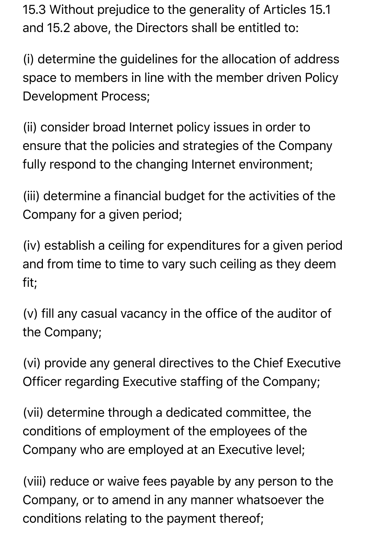15.3 Without prejudice to the generality of Articles 15.1 and 15.2 above, the Directors shall be entitled to:

(i) determine the guidelines for the allocation of address space to members in line with the member driven Policy Development Process;

(ii) consider broad Internet policy issues in order to ensure that the policies and strategies of the Company fully respond to the changing Internet environment;

(iii) determine a financial budget for the activities of the Company for a given period;

(iv) establish a ceiling for expenditures for a given period and from time to time to vary such ceiling as they deem fit;

(v) fill any casual vacancy in the office of the auditor of the Company;

(vi) provide any general directives to the Chief Executive Officer regarding Executive staffing of the Company;

(vii) determine through a dedicated committee, the conditions of employment of the employees of the Company who are employed at an Executive level;

(viii) reduce or waive fees payable by any person to the Company, or to amend in any manner whatsoever the conditions relating to the payment thereof;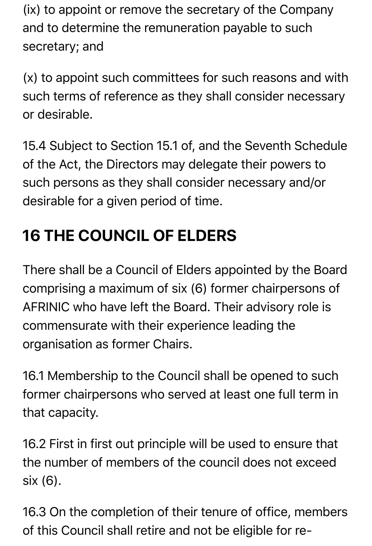(ix) to appoint or remove the secretary of the Company and to determine the remuneration payable to such secretary; and

(x) to appoint such committees for such reasons and with such terms of reference as they shall consider necessary or desirable.

15.4 Subject to Section 15.1 of, and the Seventh Schedule of the Act, the Directors may delegate their powers to such persons as they shall consider necessary and/or desirable for a given period of time.

# **16 THE COUNCIL OF ELDERS**

There shall be a Council of Elders appointed by the Board comprising a maximum of six (6) former chairpersons of AFRINIC who have left the Board. Their advisory role is commensurate with their experience leading the organisation as former Chairs.

16.1 Membership to the Council shall be opened to such former chairpersons who served at least one full term in that capacity.

16.2 First in first out principle will be used to ensure that the number of members of the council does not exceed six (6).

16.3 On the completion of their tenure of office, members of this Council shall retire and not be eligible for re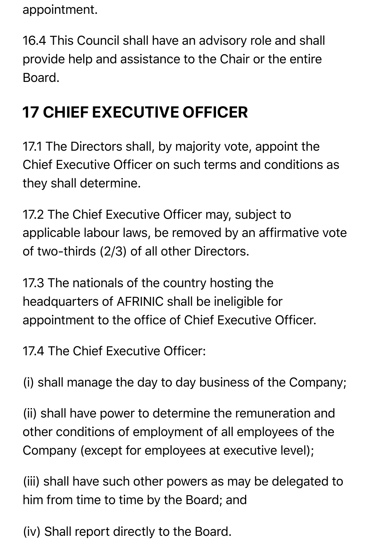appointment.

16.4 This Council shall have an advisory role and shall provide help and assistance to the Chair or the entire Board.

# **17 CHIEF EXECUTIVE OFFICER**

17.1 The Directors shall, by majority vote, appoint the Chief Executive Officer on such terms and conditions as they shall determine.

17.2 The Chief Executive Officer may, subject to applicable labour laws, be removed by an affirmative vote of two-thirds (2/3) of all other Directors.

17.3 The nationals of the country hosting the headquarters of AFRINIC shall be ineligible for appointment to the office of Chief Executive Officer.

17.4 The Chief Executive Officer:

(i) shall manage the day to day business of the Company;

(ii) shall have power to determine the remuneration and other conditions of employment of all employees of the Company (except for employees at executive level);

(iii) shall have such other powers as may be delegated to him from time to time by the Board; and

(iv) Shall report directly to the Board.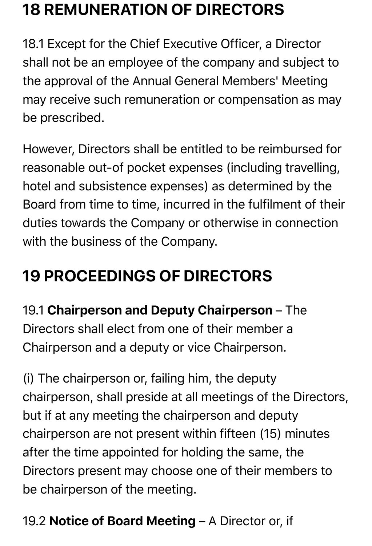# **18 REMUNERATION OF DIRECTORS**

18.1 Except for the Chief Executive Officer, a Director shall not be an employee of the company and subject to the approval of the Annual General Members' Meeting may receive such remuneration or compensation as may be prescribed.

However, Directors shall be entitled to be reimbursed for reasonable out-of pocket expenses (including travelling, hotel and subsistence expenses) as determined by the Board from time to time, incurred in the fulfilment of their duties towards the Company or otherwise in connection with the business of the Company.

# **19 PROCEEDINGS OF DIRECTORS**

19.1 Chairperson and Deputy Chairperson – The Directors shall elect from one of their member a Chairperson and a deputy or vice Chairperson.

(i) The chairperson or, failing him, the deputy chairperson, shall preside at all meetings of the Directors, but if at any meeting the chairperson and deputy chairperson are not present within fifteen (15) minutes after the time appointed for holding the same, the Directors present may choose one of their members to be chairperson of the meeting.

#### 19.2 Notice of Board Meeting – A Director or, if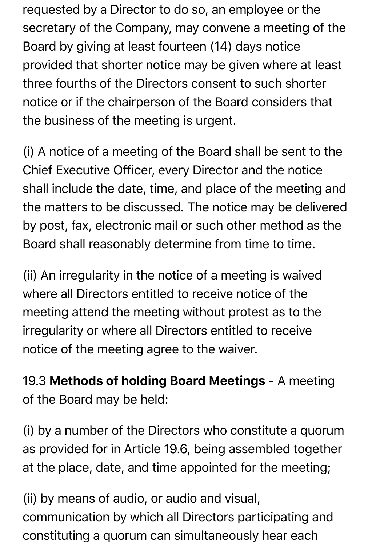requested by a Director to do so, an employee or the secretary of the Company, may convene a meeting of the Board by giving at least fourteen (14) days notice provided that shorter notice may be given where at least three fourths of the Directors consent to such shorter notice or if the chairperson of the Board considers that the business of the meeting is urgent.

(i) A notice of a meeting of the Board shall be sent to the Chief Executive Officer, every Director and the notice shall include the date, time, and place of the meeting and the matters to be discussed. The notice may be delivered by post, fax, electronic mail or such other method as the Board shall reasonably determine from time to time.

(ii) An irregularity in the notice of a meeting is waived where all Directors entitled to receive notice of the meeting attend the meeting without protest as to the irregularity or where all Directors entitled to receive notice of the meeting agree to the waiver.

19.3 Methods of holding Board Meetings - A meeting of the Board may be held:

(i) by a number of the Directors who constitute a quorum as provided for in Article 19.6, being assembled together at the place, date, and time appointed for the meeting;

(ii) by means of audio, or audio and visual, communication by which all Directors participating and constituting a quorum can simultaneously hear each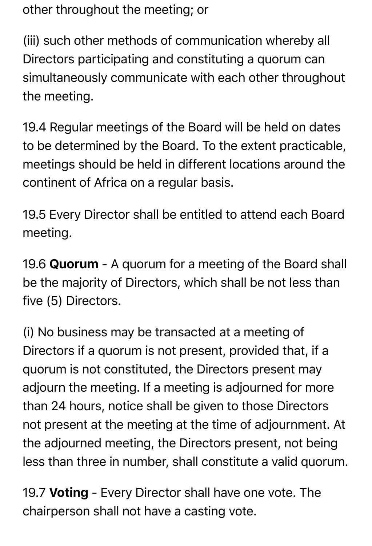other throughout the meeting; or

(iii) such other methods of communication whereby all Directors participating and constituting a quorum can simultaneously communicate with each other throughout the meeting.

19.4 Regular meetings of the Board will be held on dates to be determined by the Board. To the extent practicable, meetings should be held in different locations around the continent of Africa on a regular basis.

19.5 Every Director shall be entitled to attend each Board meeting.

19.6 Quorum - A quorum for a meeting of the Board shall be the majority of Directors, which shall be not less than five (5) Directors.

(i) No business may be transacted at a meeting of Directors if a quorum is not present, provided that, if a quorum is not constituted, the Directors present may adjourn the meeting. If a meeting is adjourned for more than 24 hours, notice shall be given to those Directors not present at the meeting at the time of adjournment. At the adjourned meeting, the Directors present, not being less than three in number, shall constitute a valid quorum.

19.7 Voting - Every Director shall have one vote. The chairperson shall not have a casting vote.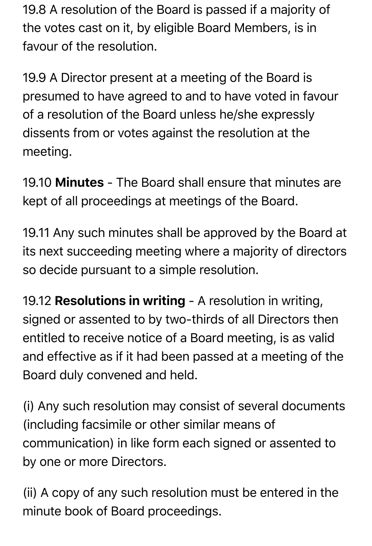19.8 A resolution of the Board is passed if a majority of the votes cast on it, by eligible Board Members, is in favour of the resolution.

19.9 A Director present at a meeting of the Board is presumed to have agreed to and to have voted in favour of a resolution of the Board unless he/she expressly dissents from or votes against the resolution at the meeting.

19.10 **Minutes** - The Board shall ensure that minutes are kept of all proceedings at meetings of the Board.

19.11 Any such minutes shall be approved by the Board at its next succeeding meeting where a majority of directors so decide pursuant to a simple resolution.

19.12 Resolutions in writing - A resolution in writing, signed or assented to by two-thirds of all Directors then entitled to receive notice of a Board meeting, is as valid and effective as if it had been passed at a meeting of the Board duly convened and held.

(i) Any such resolution may consist of several documents (including facsimile or other similar means of communication) in like form each signed or assented to by one or more Directors.

(ii) A copy of any such resolution must be entered in the minute book of Board proceedings.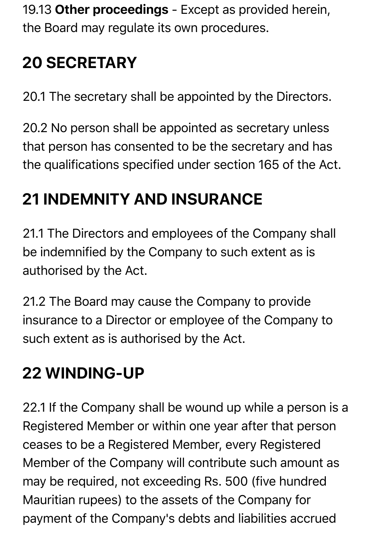19.13 Other proceedings - Except as provided herein, the Board may regulate its own procedures.

# **20 SECRETARY**

20.1 The secretary shall be appointed by the Directors.

20.2 No person shall be appointed as secretary unless that person has consented to be the secretary and has the qualifications specified under section 165 of the Act.

### **21 INDEMNITY AND INSURANCE**

21.1 The Directors and employees of the Company shall be indemnified by the Company to such extent as is authorised by the Act.

21.2 The Board may cause the Company to provide insurance to a Director or employee of the Company to such extent as is authorised by the Act.

### **22 WINDING-UP**

22.1 If the Company shall be wound up while a person is a Registered Member or within one year after that person ceases to be a Registered Member, every Registered Member of the Company will contribute such amount as may be required, not exceeding Rs. 500 (five hundred Mauritian rupees) to the assets of the Company for payment of the Company's debts and liabilities accrued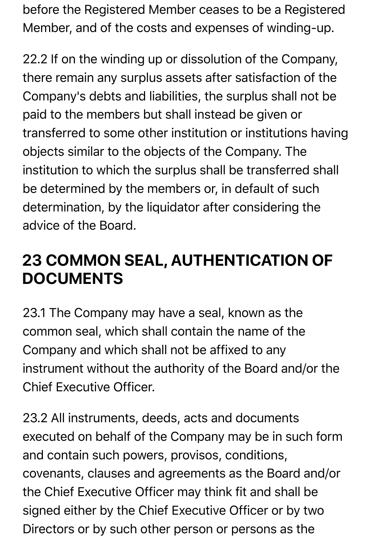before the Registered Member ceases to be a Registered Member, and of the costs and expenses of winding-up.

22.2 If on the winding up or dissolution of the Company, there remain any surplus assets after satisfaction of the Company's debts and liabilities, the surplus shall not be paid to the members but shall instead be given or transferred to some other institution or institutions having objects similar to the objects of the Company. The institution to which the surplus shall be transferred shall be determined by the members or, in default of such determination, by the liquidator after considering the advice of the Board.

### **23 COMMON SEAL, AUTHENTICATION OF DOCUMENTS**

23.1 The Company may have a seal, known as the common seal, which shall contain the name of the Company and which shall not be affixed to any instrument without the authority of the Board and/or the Chief Executive Officer.

23.2 All instruments, deeds, acts and documents executed on behalf of the Company may be in such form and contain such powers, provisos, conditions, covenants, clauses and agreements as the Board and/or the Chief Executive Officer may think fit and shall be signed either by the Chief Executive Officer or by two Directors or by such other person or persons as the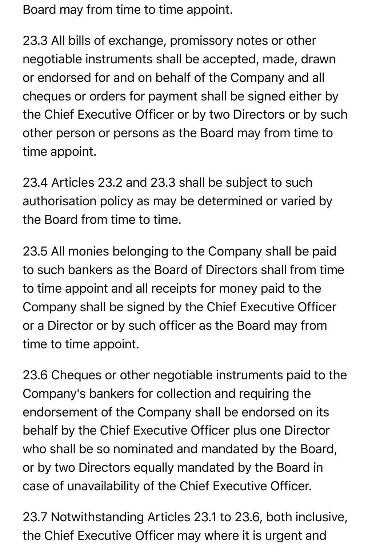Board may from time to time appoint.

23.3 All bills of exchange, promissory notes or other negotiable instruments shall be accepted, made, drawn or endorsed for and on behalf of the Company and all cheques or orders for payment shall be signed either by the Chief Executive Officer or by two Directors or by such other person or persons as the Board may from time to time appoint.

23.4 Articles 23.2 and 23.3 shall be subject to such authorisation policy as may be determined or varied by the Board from time to time.

23.5 All monies belonging to the Company shall be paid to such bankers as the Board of Directors shall from time to time appoint and all receipts for money paid to the Company shall be signed by the Chief Executive Officer or a Director or by such officer as the Board may from time to time appoint.

23.6 Cheques or other negotiable instruments paid to the Company's bankers for collection and requiring the endorsement of the Company shall be endorsed on its behalf by the Chief Executive Officer plus one Director who shall be so nominated and mandated by the Board, or by two Directors equally mandated by the Board in case of unavailability of the Chief Executive Officer.

23.7 Notwithstanding Articles 23.1 to 23.6, both inclusive, the Chief Executive Officer may where it is urgent and